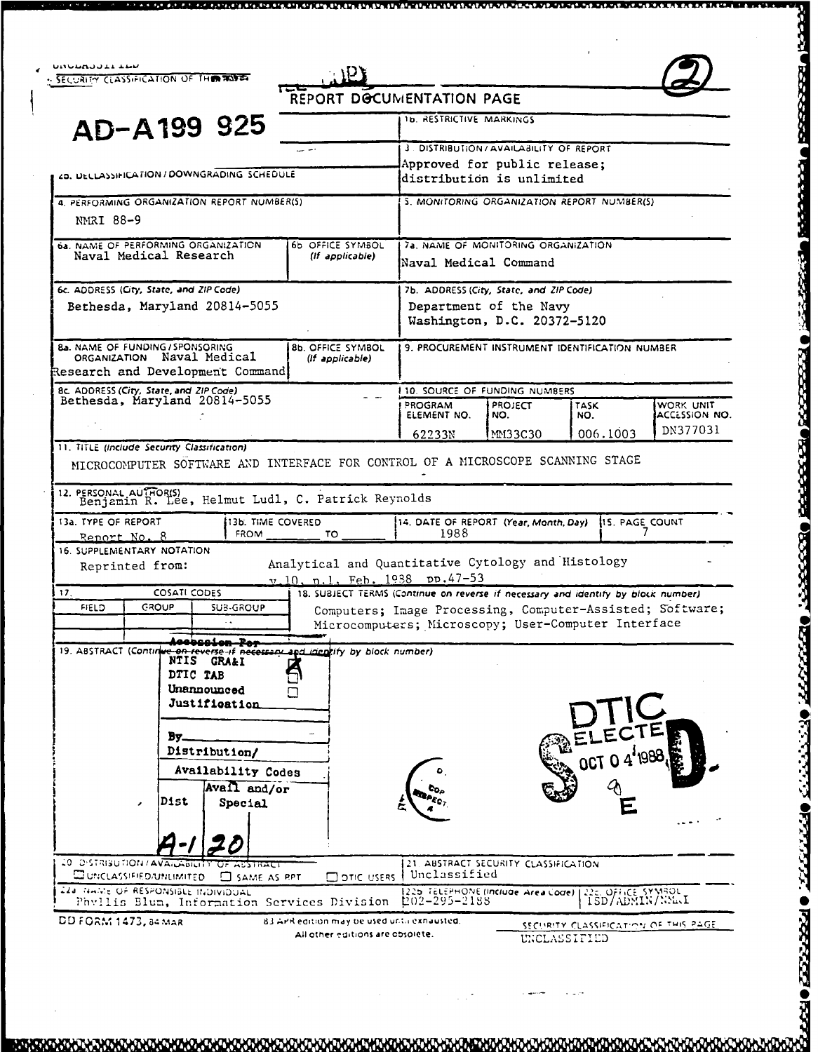<u>טמטטמטטברדמה</u> SECURITY CLASS-FICATION OF TH**E ROSE** 



REPORT DOCUMENTATION PAGE

| AD-A199 925                                                                                                                                                                                       |                                      | 1b. RESTRICTIVE MARKINGS                                                                                                                                                                                                                 |                                                                                                  |              |                                                           |  |
|---------------------------------------------------------------------------------------------------------------------------------------------------------------------------------------------------|--------------------------------------|------------------------------------------------------------------------------------------------------------------------------------------------------------------------------------------------------------------------------------------|--------------------------------------------------------------------------------------------------|--------------|-----------------------------------------------------------|--|
|                                                                                                                                                                                                   |                                      |                                                                                                                                                                                                                                          | 3. DISTRIBUTION/AVAILABILITY OF REPORT                                                           |              |                                                           |  |
| ZD. DECLASSIFICATION / DOWNGRADING SCHEDULE                                                                                                                                                       |                                      |                                                                                                                                                                                                                                          | Approved for public release;<br>distribution is unlimited                                        |              |                                                           |  |
| 4. PERFORMING ORGANIZATION REPORT NUMBER(S)<br><b>NMRI 88-9</b>                                                                                                                                   |                                      |                                                                                                                                                                                                                                          | 5. MONITORING ORGANIZATION REPORT NUMBER(S)                                                      |              |                                                           |  |
| <b>64. NAME OF PERFORMING ORGANIZATION</b><br>Naval Medical Research                                                                                                                              | 6b OFFICE SYMBOL<br>(If applicable)  | 7a, NAME OF MONITORING ORGANIZATION<br> Naval Medical Command                                                                                                                                                                            |                                                                                                  |              |                                                           |  |
| 6c. ADDRESS (City, State, and ZIP Code)<br>Bethesda, Maryland 20814-5055                                                                                                                          |                                      |                                                                                                                                                                                                                                          | 7b. ADDRESS (City, State, and ZIP Code)<br>Department of the Navy<br>Washington, D.C. 20372-5120 |              |                                                           |  |
| <b>8a. NAME OF FUNDING / SPONSORING</b><br>ORGANIZATION Naval Medical<br>Research and Development Command                                                                                         | 8b. OFFICE SYMBOL<br>(If applicable) |                                                                                                                                                                                                                                          | 9. PROCUREMENT INSTRUMENT IDENTIFICATION NUMBER                                                  |              |                                                           |  |
| 8c. ADDRESS (City, State, and ZIP Code)<br>Bethesda, Maryland 20814-5055                                                                                                                          |                                      |                                                                                                                                                                                                                                          | 10. SOURCE OF FUNDING NUMBERS                                                                    |              |                                                           |  |
|                                                                                                                                                                                                   |                                      | PROGRAM<br>ELEMENT NO.                                                                                                                                                                                                                   | <b>PROJECT</b><br>NO.                                                                            | TASK<br>NO.  | WORK UNIT<br>ACCESSION NO.<br>DN377031                    |  |
| 11. TITLE (Include Security Classification)                                                                                                                                                       |                                      | 62233N                                                                                                                                                                                                                                   | MM33C30                                                                                          | 006.1003     |                                                           |  |
| 135. TIME COVERED<br>FROM<br>Report No. 8<br>Reprinted from:<br><b>COSATI CODES</b>                                                                                                               | TO                                   | 14. DATE OF REPORT (Year, Month, Day) 15. PAGE COUNT<br>1988<br>Analytical and Quantitative Cytology and Histology<br>v.10, n.1, Feb. 1938 pp.47-53<br>18. SUBJECT TERMS (Continue on reverse if necessary and identity by block number) |                                                                                                  |              |                                                           |  |
| <b>FIELD</b><br><b>GROUP</b><br>SUB-GROUP<br>Acebesion Por                                                                                                                                        |                                      | Microcomputers; Microscopy; User-Computer Interface                                                                                                                                                                                      |                                                                                                  |              | Computers; Image Processing, Computer-Assisted; Software; |  |
| 13a. TYPE OF REPORT<br>16. SUPPLEMENTARY NOTATION<br>17.<br>19. ABSTRACT (Continue on reverse if necessary and identity by block number)<br>NTIS GRA&I<br>DTIC TAB<br>Unannounced<br>Justificatio |                                      |                                                                                                                                                                                                                                          |                                                                                                  |              |                                                           |  |
| By<br>Distribution/                                                                                                                                                                               |                                      |                                                                                                                                                                                                                                          |                                                                                                  |              |                                                           |  |
|                                                                                                                                                                                                   |                                      |                                                                                                                                                                                                                                          |                                                                                                  | OCT O 4'1988 |                                                           |  |
| Availability Codes<br>Avail and/or<br>Dist<br>Special<br>$\mathbf{r}$                                                                                                                             |                                      | ್ಲೂ                                                                                                                                                                                                                                      |                                                                                                  |              |                                                           |  |
|                                                                                                                                                                                                   |                                      |                                                                                                                                                                                                                                          |                                                                                                  |              |                                                           |  |
| 20 DISTRIBUTION / AVAILLABILITY<br>राम<br>ACSTRACT<br>COUNCLASSIFIED/UNLIMITED C SAME AS RPT                                                                                                      | $\square$ ofic users                 | Unclassified                                                                                                                                                                                                                             | 21. ABSTRACT SECURITY CLASSIFICATION                                                             |              |                                                           |  |
| 224 NAME OF RESPONSIBLE INDIVIDUAL<br>Phyllis Blum, Information Services Division                                                                                                                 |                                      | 1202-295-2188                                                                                                                                                                                                                            | 1225 TELEPHONE (Include Area Code)                                                               |              | 22c. OFFICE SYMBOL<br>1SD/ADMIN/NSLLI                     |  |

**•** . **.0.** . .....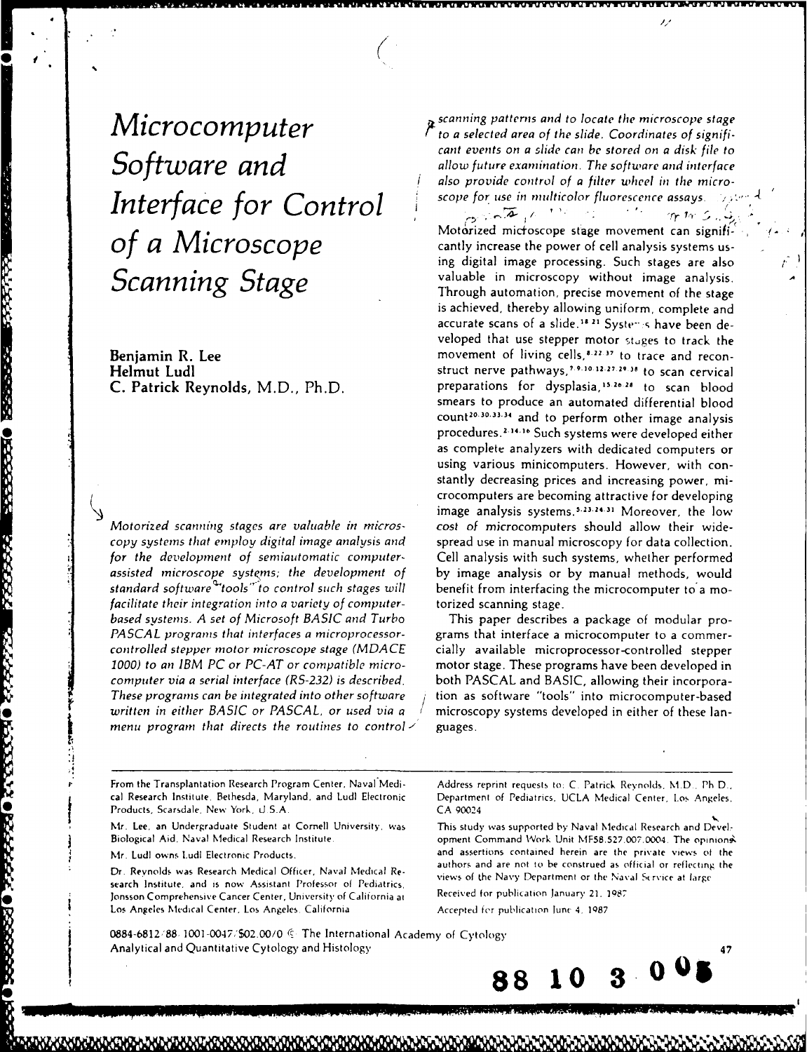Support of the scope for use in multicolor fluorescence assays.

**MARINE CONTROL POSSESSION CONTROL CONTROL** 

2222222

VELLENS OF LEEPING PERSONS ORGANIZES

Motorized scanning stages are valuable in *rnicros-* cost of microcomputers should allow their widecopy systems that employ digital image analysis and spread use in manual microscopy for data collection. for the development of semiautomatic computer-<br>
Cell analysis with such systems, whether performed assisted microscope *systerms;* the development of by image analysis or by manual methods, would standard software<sup>Q</sup>tools" to control such stages will benefit from interfacing the microcomputer to a mofacilitate their integration into a variety of computer- torized scanning stage. based systems. A set of Microsoft BASIC and Turbo This paper describes a package of modular pro-PASCAL programs that interfaces a microprocessor-<br>grams that interface a microprocessorcontrolled stepper *motor* microscope stage (MDACE cially available microprocessor-controlled stepper **1000)** to an IBM **PC** or **PC-AT** or compatible micro- motor stage. These programs have been developed in *computer* via a serial interface (RS-232) is described, both **PASCAL** and **BASIC,** allowing their incorpora-These programs can be integrated into other software */* tion as software "tools" into microcomputer-based written in either BASIC or PASCAL, or used via a  $\pm$  microscopy systems developed in either of these lanmenu program that directs the routines to control  $\angle$  guages.

*Microcomputer*  $\overline{M}$  *recanning patterns and to locate the microscope stage*<br>*<sup><i>r</sup>* to a selected area of the slide. Coordinates of signifi-</sup> cant events on a slide can be stored on a disk file to<br>*Software and interface*<br>*Software and interface* also provide control of a filter wheel in the micro-

**wis** 'vuirVVVTWVWV WuVrVVVWWXWV - W% KWM- W71

Motorized microscope stage movement can signifi*of a Microscope* **can is a server in the Motorized microscope** stage movement can signifi-<br>eantly increase the power of cell analysis systems us-**Scanning Stage Consumersed Scanning Stage Consumersed Scanning Stage Consumersed Scanning Stage Scanning Stage Scanning Stage Consumersed analysis.<br>
Through automation precise movement of the stage** Through automation, precise movement of the stage is achieved, thereby allowing uniform, complete and accurate scans of a slide.<sup>18.21</sup> Systems have been developed that use stepper motor stages to track the **Benjamin R. Lee movement** of living cells,<sup>8,22,37</sup> to trace and recon-Helmut Ludl struct nerve pathways,' **<sup>9</sup> . <sup>10</sup>12.27 0** to scan cervical C. Patrick Reynolds, M.D., Ph.D. preparations for dysplasia,<sup>15,26,28</sup> to scan blood smears to produce an automated differential blood count<sup>20.30.33.34</sup> and to perform other image analysis procedures.<sup>2.14.16</sup> Such systems were developed either as complete analyzers with dedicated computers or using various minicomputers. However, with constantly decreasing prices and increasing power, microcomputers are becoming attractive for developing image analysis systems.<sup>5.23.24.31</sup> Moreover, the low

*e* From the Transplantation Research Program Center, Naval Medi- Address reprint requests to: **C.** Patrick Reynolds. M.D., Ph D.. cal Research Institute. Bethesda, Maryland. and Ludl Electronic Department of Pediatrics. UCLA Medical Center, Los Angeles.<br>Products, Scarsdale. New York, U.S.A. CA 90024

Mr. Lee, an Undergraduate Student at Cornell University. was This study was supported by Naval Medical Research and Devel-

*|V*

search Institute, and is now Assistant Professor **of** Pediatrics, views **of** the Navy Department or the Naval Srvice at largr Jonsson Comprehensive Cancer Center, University of California at Los Angeles Medical Center, Los Angeles. California **Accepted for publication June 4, 1987** 

Biological Aid. Naval Medical Research Institute. **Command Command Work Unit MF58.527.007.0004.** The opinions Mr. LudI owns LudI Electronic Products. **and assertions contained herein are the private views of the Samuel Contained Action** authors and are not to be construed as official or reflecting the Dr. Reynolds was Research Medical Officer, Naval Medical Re- authors and are not to be construed as official or reflecting the Naval Service at large



0884-6812/88 1001-0047/\$02.00/0 6 The International Academy of Cytology Analytical and Quantitative Cytology and Histology <sup>47</sup>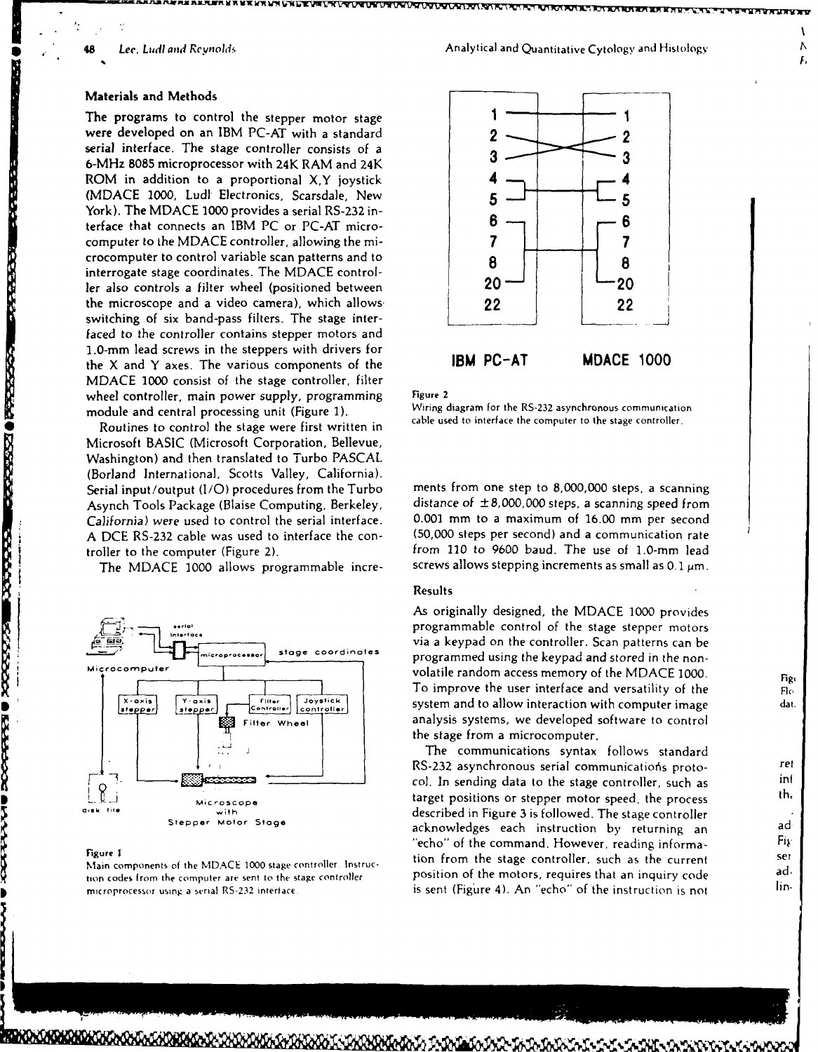**POPOSTA NO REPORTED DE LA CONSTANTINA EL PORTE DE LA CONSTANTINA EL PORTE DE LA CONSTANTINA EL PORTE DE LA CONST** 

D

**Processing** 

**TANA** 

# Materials and Methods

The programs to control the stepper motor stage **I I** were developed on an IBM PC-AT with a standard 2 serial interface. The stage controller consists of a 6-MHz **8085** microprocessor with 24K RAM and 24K ROM in addition to a proportional X<sub>,</sub>Y joystick **(MDACE 1000,** Ludr Electronics, Scarsdale, New **5 5** York). The MDACE 1000 provides a serial RS-232 interface that connects an IBM PC or PC-AT micro-<br>
computer to the MDACE controller, allowing the micomputer to the **MDACE** controller, allowing the mi- **7** crocomputer to control variable scan patterns and to **8 8** interrogate stage coordinates. The **MDACE** controller also controls a filter wheel (positioned between **20** the microscope and a video camera), which allows-**22** 22 **22 22** switching of six band-pass filters. The stage interfaced to the controller contains stepper motors and 1.0-mm lead screws in the steppers with drivers for the X and Y axes. The various components of the IBM PC-AT **MDACE** 1000 MDACE 1000 consist of the stage controller, filter wheel controller, main power supply, programming<br>module and control processing unit (Figure 1) Wiring diagram for the RS-232 asynchronous communication

Routines to control the stage were first written in Microsoft BASIC (Microsoft Corporation, Bellevue, Washington) and then translated to Turbo PASCAL (Borland International, Scotts Valley, California). Serial input/output (I/O) procedures from the Turbo ments from one step to 8,000,000 steps, a scanning<br>Asynch Tools Package (Blaise Computing Berkeley distance of  $\pm 8,000,000$  steps, a scanning speed from Asynch Tools Package (Blaise Computing, Berkeley, *California)* were used to control the serial interface. **0.001** mm to a maximum of 16.00 mm per second A DCE RS-232 cable was used to interface the con-

The MDACE 1000 allows programmable incre-





module and central processing unit (Figure 1). Wiring diagram for the RS-232 asynchronous communication<br>cable used to interface the computer to the stage controller.

troller to the computer (Figure 2). from **110** to **9600** baud. The use of 1.0-mm lead

## Results

As originally designed, the MDACE 1000 provides programmable control of the stage stepper motors via a keypad on the controller. Scan patterns can be **Stage coordinates** programmed using the keypad and stored in the nonvolatile random access memory of the NIDACE 1000.<br>To improve the user interface and versatility of the FI<sub>O</sub> **Controller**  $\begin{bmatrix} 1 & 0 & 0 \\ 0 & 0 & 0 \end{bmatrix}$  *Controller*  $\begin{bmatrix} 1 & 0 \\ 0 & 0 \end{bmatrix}$  **controller**  $\begin{bmatrix} 1 & 0 \\ 0 & 0 \end{bmatrix}$  dat.  $\frac{1}{2}$   $\frac{1}{2}$  analysis systems, we developed software to control the stage from a microcomputer.

The communications syntax follows standard RS-232 asynchronous serial communications proto*col.* In sending data to the stage controller, such as interest in the stage controller, such as interest in the stage of the stage of the stage of the stage of the stage of the stage of the stage of the stage of the stag With the stage controller, such as<br>Microscope **by target positions or stepper motor speed**, the process with described in Figure 3 is followed. The stage controller Stepper Motor Stage **and Stepper Motor Stage acknowledges** each instruction by returning an ad add "echo" of the command. However, reading informa- **Fi, Figure 1**<br>**1999 Example 2009 Example 2009 Institute 1999 Linux Example 1999 Example 2009 Example 2009 Example 2009 Example 2009 Example 2009 Example 2009 Example 2009 Example 2009 EXAMPLE 2009** Main components of the MDACE 1000 stage controller. Instruc-<br>tion codes from the computer are sent to the stage controller **position of the motors, requires that an inquiry code** hiam components of the MDACE 1000 stage controller. Institute-<br>tion codes from the computer are sent to the stage controller [15] position of the motors, requires that an inquiry code<br>microprocessor using a serial RS-232 i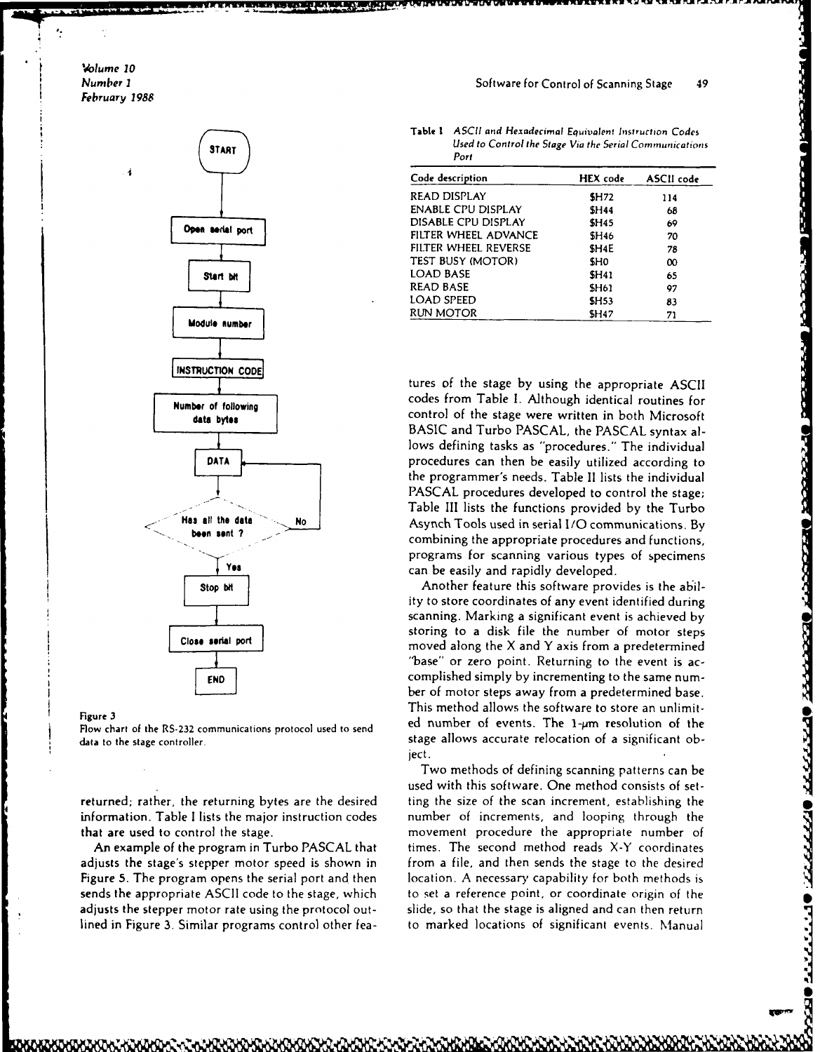*olume* **10 February 1988**



information. Table I lists the major instruction codes number of increments, and looping through the that are used to control the stage. movement procedure the appropriate number of

adjusts the stage's stepper motor speed is shown in from a file, and then sends the stage to the desired Figure **5.** The program opens the serial port and then location. A necessary capability for both methods is sends the appropriate ASCII code to the stage, which to set a reference point, or coordinate origin of the adjusts the stepper motor rate using the protocol out- slide, so that the stage is aligned and can then return lined in Figure **3.** Similar programs control other fea- to marked locations of significant events. Manual

Table **I ASCII and** Hexadecimal Equivalent Instruction Codes **START START START START START** Port

|                  | Code description          | <b>HEX</b> code   | ASCII code |  |  |  |  |
|------------------|---------------------------|-------------------|------------|--|--|--|--|
|                  | READ DISPLAY              | <b>SH72</b>       | 114        |  |  |  |  |
|                  | <b>ENABLE CPU DISPLAY</b> | <b>SH44</b>       | 68         |  |  |  |  |
|                  | DISABLE CPU DISPLAY       | <b>SH45</b>       | 69         |  |  |  |  |
| Open serial port | FILTER WHEEL ADVANCE      | <b>SH46</b>       | 70         |  |  |  |  |
|                  | FILTER WHEEL REVERSE      | SH <sub>4</sub> E | 78         |  |  |  |  |
|                  | TEST BUSY (MOTOR)         | <b>SHO</b>        | $\infty$   |  |  |  |  |
| Start bit        | LOAD BASE                 | <b>SH41</b>       | 65         |  |  |  |  |
|                  | <b>READ BASE</b>          | <b>SH61</b>       | 97         |  |  |  |  |
|                  | LOAD SPEED                | <b>SH53</b>       | 83         |  |  |  |  |
| .                | RUN MOTOR                 | <b>SH47</b>       | 71         |  |  |  |  |
|                  |                           |                   |            |  |  |  |  |

**Number of following and although identical routines for Number of following 1. Although identical routines for BASIC** and Turbo **PASCAL,** the **PASCAL** syntax allows defining tasks as "procedures." The individual **DATA procedures can then be easily utilized according to** the programmer's needs. Table **II** lists the individual PASCAL procedures developed to control the stage; Table **III** lists the functions provided by the Turbo **Has all the data** No No Asynch Tools used in serial I/O communications. By combining the appropriate procedures and functions, programs for scanning various types of specimens **Yea** can be easily and rapidly developed.

Stop bt | Stop bt | Another feature this software provides is the ability to store coordinates of any event identified during scanning. Marking a significant event is achieved by storing to a disk file the number of motor steps<br>Close serial port moved along the X and Y axis from a predetermined "base" or zero point. Returning to the event is accomplished simply by incrementing to the same number of motor steps away from a predetermined base. Figure 3<br>Finis method allows the software to store an unlimit-<br>Flow chart of the RS-232 communications protocol used to send<br>data to the stage controller.<br>data to the stage controller.<br>data to the stage allows accurate rel ject.

Two methods of defining scanning patterns can be used with this software. One method consists of setreturned; rather, the returning bytes are the desired ting the size of the scan increment, establishing the An example of the program in Turbo PASCAL that times. The second method reads X-Y coordinates

**i[AI**

**Presect Desect: Oestarre Oranist Officers** (Carteria Officers)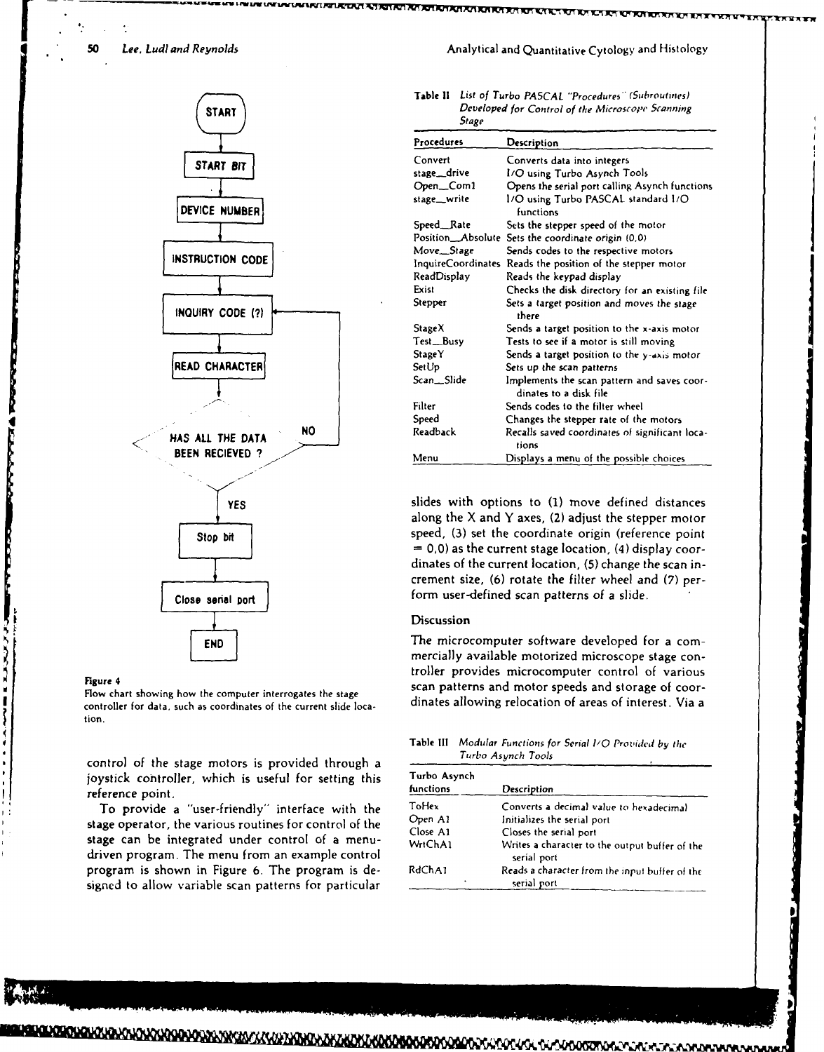

controller for data, such as coordinates of the current slide loca- dinates allowing relocation of areas of interest. Via a tion,

control of the stage motors is provided through a joystick controller, which is useful for setting this reference point.

To provide a "user-friendly" interface with the stage operator, the various routines for control of the stage can be integrated under control of a menudriven program. The menu from an example control program is shown in Figure 6. The program is designed to allow variable scan patterns for particular

<u>ຒຘໞຩຎຨຆຎຎຎຎຎຨຨຨຉຎຉໞຆຒຬຎຬຎຎຎໞຒໞຒໞຆຩຬຆຒຒຎຎໞຨ</u>ຎຨຎ

### **50** *Lee. Ludl and Reynolds* Analytical and Quantitative Cytology and Histology and Histology

| $\overline{\phantom{a}}$ | <b>Table II</b> List of Turbo PASCAL "Procedures" (Subroutines) |
|--------------------------|-----------------------------------------------------------------|
| START )                  | Developed for Control of the Microscope Scanning<br>Stane       |

|                               | <b>SURGE</b>    |                                                                       |
|-------------------------------|-----------------|-----------------------------------------------------------------------|
|                               | Procedures      | Description                                                           |
| START BIT                     | Convert         | Converts data into integers                                           |
|                               | stage_drive     | I/O using Turbo Asynch Tools                                          |
|                               | Open_Com1       | Opens the serial port calling Asynch functions                        |
| DEVICE NUMBER                 | stage_write     | 1/O using Turbo PASCAL standard 1/O<br>functions                      |
|                               | Speed_Rate      | Sets the stepper speed of the motor                                   |
|                               |                 | Position_Absolute Sets the coordinate origin (0,0)                    |
|                               | Move_Stage      | Sends codes to the respective motors                                  |
| INSTRUCTION CODE              |                 | InquireCoordinates Reads the position of the stepper motor            |
|                               | ReadDisplay     | Reads the keypad display                                              |
|                               | Exist           | Checks the disk directory for an existing file                        |
| INQUIRY CODE (?)              | Stepper         | Sets a target position and moves the stage<br>there                   |
|                               | StageX          | Sends a target position to the x-axis motor                           |
|                               | Test_Busy       | Tests to see if a motor is still moving                               |
|                               | StageY          | Sends a target position to the y-axis motor                           |
| READ CHARACTER                | SetUp           | Sets up the scan patterns                                             |
|                               | Scan_Slide      | Implements the scan pattern and saves coor-<br>dinates to a disk file |
|                               | Filter          | Sends codes to the filter wheel                                       |
|                               | Speed           | Changes the stepper rate of the motors                                |
| <b>NO</b><br>HAS ALL THE DATA | <b>Readback</b> | Recalls saved coordinates of significant loca-<br>tions               |
| <b>BEEN RECIEVED ?</b>        | Menu            | Displays a menu of the possible choices                               |
|                               |                 |                                                                       |

**f YES** slides with options to **(1)** move defined distances along the  $X$  and  $Y$  axes, (2) adjust the stepper motor Stop bit **speed**, (3) set the coordinate origin (reference point **= 0,0)** as the current stage location, (4) display coordinates of the current location, **(5)** change the scan increment size, **(6)** rotate the filter wheel and **(7)** per-**Close senal port**  $\begin{bmatrix} 1 & 1 & 1 \\ 1 & 1 & 1 \\ 1 & 1 & 1 \end{bmatrix}$  form user-defined scan patterns of a slide.

### Discussion

The microcomputer software developed for a commercially available motorized microscope stage controller provides microcomputer control of various Figure 4<br>Flow chart showing how the computer interrogates the stage **scan patterns and motor speeds and storage of coor-**

Table **Ill** Modular Functions for Serial **I/0** Provided **by** the *Turbo* **Asynch** *Tools*

| Turbo Asynch |                                                               |
|--------------|---------------------------------------------------------------|
| functions    | Description                                                   |
| ToHex        | Converts a decimal value to hexadecimal                       |
| Open Al      | Initializes the serial port                                   |
| Close A1     | Closes the serial port                                        |
| WrtChA1      | Writes a character to the output buffer of the<br>serial port |
| RdChA1<br>٠  | Reads a character from the input buffer of the<br>serial port |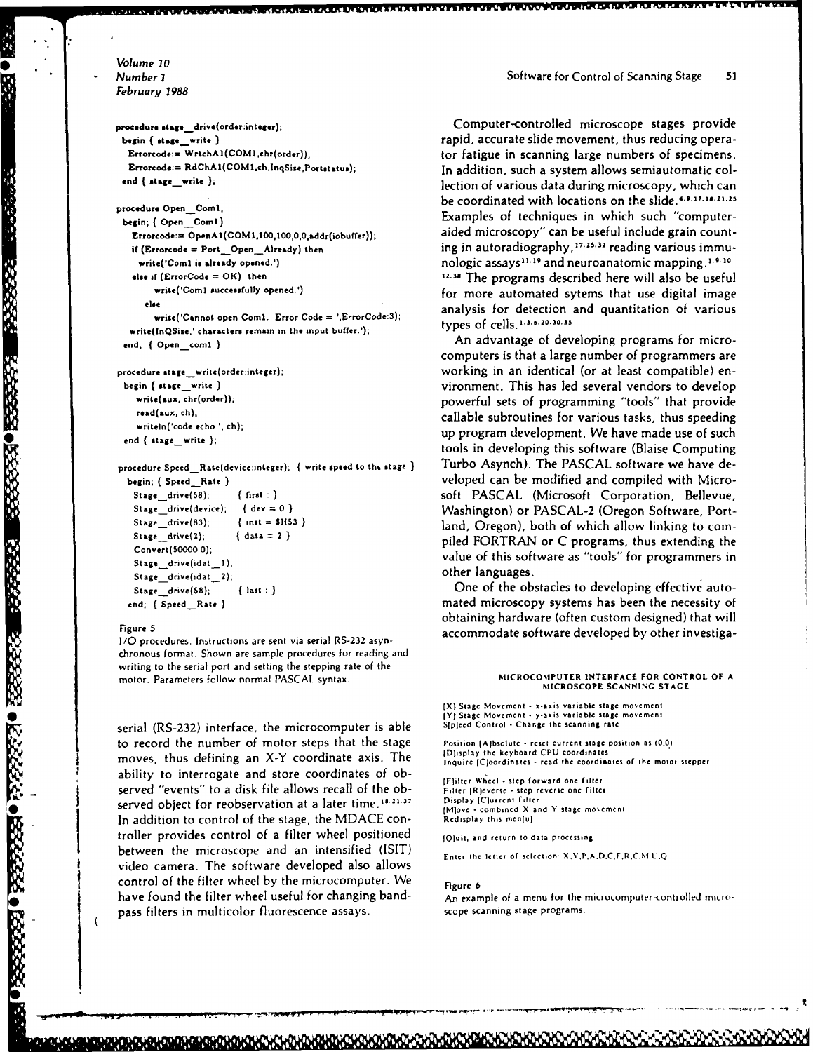*Volume 10* February **1988**

 $write(InQSize, 'characters remain in the input buffer.');$ 

Stage\_drive(idat\_1); stage\_drive(idat\_1); other languages.<br>
Stage\_drive(idat\_2); other languages.

*I/O* procedures. Instructions are sent via serial RS-232 asynchronous format. Shown are sample procedures for reading and writing to the serial port and setting the stepping rate of the motor. Parameters follow normal PASCAL syntax. **MICROCOMPUTER INTERFACE FOR CONTROL OF A**

serial (RS-232) interface, the microcomputer is able to record the number of motor steps that the stage  $\frac{1}{2}$  Position (A)bsolute  $\cdot$  reset current stage position as (0,0) moves, thus defining an X-Y coordinate axis. The *IDISPLAY the Keyboard CPU coordinates* of the motor stepper ability to interrogate and store coordinates of ob- IFlitter **Whel** step **forward one** filter served "events" to a disk file allows recall of the ob-<br>served object for reobservation at a later time 18.21.37 Display [C]urrent filter served object for reobservation at a later time.<sup>18.21.37</sup> In addition to control of the stage, the MDACE controller provides control of a filter wheel positioned  $I_{\text{Q}(\text{unit, and return to data processing}}$ between the microscope and an intensified (ISIT) Enter the letter of selection: *XY.P.A.D.C.FR,C.Ut.Q* video camera. The software developed also allows control of the filter wheel by the microcomputer. We Figure 6 have found the filter wheel useful for changing band- An example of a menu for the microcomputer-controlled micropass filters in multicolor fluorescence assays. scope scanning stage programs.

**procedure stag.edrive (order:integer);** Computer-controlled microscope stages provide **begin**  $\left\{ \text{ }$  **begin**  $\left\{ \text{ }$  **k**  $\left\{ \text{ }$  *rapid, accurate slide movement, thus reducing opera-***Errorcode:= WrtchAl(COMIchr(order));** tor fatigue in scanning large numbers of specimens. **Errorcoda:= RdChAI(COMIch,lnqSiee,Portstatus);** In addition, such a system allows semiautomatic col**end { stagewrite );** lection of various data during microscopy, which can **procedure Open\_Com1; be coordinated with locations on the slide.**  $4.9.17.18.21.1$ procedure Open Com1;<br>begin; { Open Com1} **begin;** { Open Com1} **Examples of techniques in which such "computer-**Errorcode:= OpenA1(COM1,100,100,0,0,addr(iobuffer)); <br>**Errorcode:= OpenA1(COM1,100,100,0,0,addr(iobuffer)**); <br>aided microscopy" can be useful include grain countif (Errorcode = Port\_Open\_Already) then ing in autoradiography, <sup>17.25.32</sup> reading various immu**write**('Coml is already opened.') *nologic assays*<sup>11.19</sup> and neuroanatomic mapping.<sup>1.9.10</sup> **else if (ErrorCode = OK) then 22.38** The programs described here will also be useful **write('Comi successfully opened.')** for more automated sytems that use digital image else write('Cannot open Coml. Error Code = ',E-ror Code:3); *analysis for detection and quantitation of various*<br>
types of cells.<sup>1.3.6.20.30.35</sup>

end; { Open\_comi } **and all and an advantage of developing programs for micro**computers is that a large number of programmers are **procedure stage\_write(order:integer);** working in an identical (or at least compatible) en**begin ( stage write )** vironment. This has led several vendors to develop **write(aux, chr(order));** powerful sets of programming "tools" that provide **read(aux, ch);** callable subroutines for various tasks, thus speeding writeln('code echo ', ch); <br>writeln('code echo ', ch); <br> $\frac{1}{2}$ write in code echo call, **the stage write is a stage write is a stage write is a** second tools in developing this software (Blaise Computing the stage write is procedure Speed\_Rate(device:integer); { write speed to the stage } Turbo Asynch). The PASCAL software we have debegin; { Speed\_Rate } **begined Rate }** veloped can be modified and compiled with Micro-Stage\_drive(58); {first : } soft PASCAL (Microsoft Corporation, Bellevue, **Stage drive(device);** *(* **dev** *=* **0)** Washington) or **PASCAL-2** (Oregon Software, Port-Stage **drive(83); (nat = \$1153** ) land, Oregon), both of which allow linking to com-Stage drive(2);  $\{ \text{ data } = 2 \}$  adia  $\{ \text{ data } = 2 \}$  and  $\{ \text{ data } = 2 \}$  $\frac{\text{Stage\_drive(1)}}{\text{Convert}(50000.0)}$ ;  $\frac{\text{data = 2}}{\text{Value of this software as "tools" for programmers in$ 

Stage\_drive(58); { last : } One of the obstacles to developing effective autoend; ( Speed\_\_Rate ) **has a mated microscopy systems has been the necessity of** mated microscopy systems has been the necessity of obtaining hardware (often custom designed) that will Figure **5** accommodate **software developed by other investiga-**

# **MICROSCOPE SCANNING STAGE**

[X) **Stage Movement s-axis variable stage movement 0YI** Stage **Movement y-axis variable stage movement**

(M)ove - combined X and Y stage movement<br>Redisplay this men[u]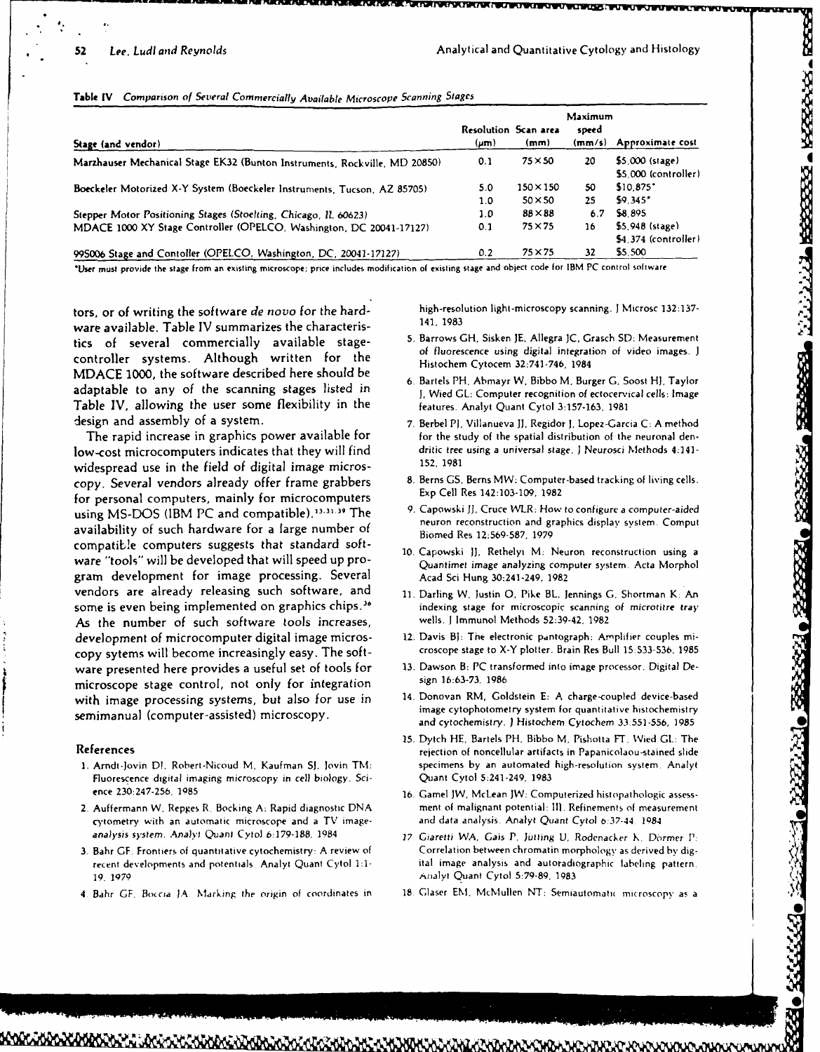|  | Table IV Comparison of Several Commercially Available Microscope Scanning Stages |  |  |  |  |  |  |
|--|----------------------------------------------------------------------------------|--|--|--|--|--|--|
|--|----------------------------------------------------------------------------------|--|--|--|--|--|--|

|                                                                                                                                        |                                   |                                  | Maximum         |                                                    |  |
|----------------------------------------------------------------------------------------------------------------------------------------|-----------------------------------|----------------------------------|-----------------|----------------------------------------------------|--|
| Stage (and vendor)                                                                                                                     | Resolution Scan area<br>$(\mu m)$ | (mm)                             | speed<br>(mm/s) | Approximate cost                                   |  |
| Marzhauser Mechanical Stage EK32 (Bunton Instruments, Rockville, MD 20850)                                                             | 0.1                               | 75 × 50                          | 20              | \$5,000 (stage)<br>\$5,000 (controller)            |  |
| Boeckeler Motorized X-Y System (Boeckeler Instruments, Tucson, AZ 85705)                                                               | 5.0<br>1.0                        | $150\times150$<br>$50 \times 50$ | 50<br>25        | \$10.875<br>\$9.345"                               |  |
| Stepper Motor Positioning Stages (Stoelting, Chicago, IL 60623)<br>MDACE 1000 XY Stage Controller (OPELCO, Washington, DC 20041-17127) | 1.0<br>0.1                        | $88\times88$<br>$75 \times 75$   | 6.7<br>16       | \$8.895<br>\$5,948 (stage)<br>\$4.374 (controller) |  |
| 995006 Stage and Contoller (OPELCO, Washington, DC, 20041-17127)                                                                       | 0.2                               | $75\times75$                     | 32              | \$5,500                                            |  |

'User must provide the stage from an existing microscope: price includes modification of existing stage and object code for IBM **PC** control software

ware available. Table IV summarizes the characteris-<br>tics of several commercially available stagecontroller systems. Although written for the of fluorescence using digital integration of video images. J<br>
Histochem Cytocem 32:741-746, 1984 **MDACE 1000,** the software described here should be adaptable to any of the scanning stages listed in J, **Wied GL:** Computer recognition of ectocervical cells: Image Table IV, allowing the user some flexibility in the features. Analyt Quant Cytol **3:157-163.** <sup>1981</sup> design and assembly of a system. **7.** Berbel PJ, Villanueva **JJ,** Regidor **J.** Lopez-Garcia **C: A** method

low-cost microcomputers indicates that they will find dritic tree<br>unidentical stage using the field of digital image microscopic Methods 4:1981 widespread use in the field of digital image micros-<br>copy Several vendors already offer frame grabbers and B. Berns GS, Berns MW: Computer-based tracking of living cells. copy. Several vendors already offer frame grabbers **8. Berns GS, Berns MW: Computer**<br>for necessarily certainly for misrocomputers **buth the living cell Res** 142:103-109, 1982 for personal computers, mainly for microcomputers using MS-DOS (IBM PC and compatible).<sup>13.31.39</sup> The availability of such hardware for a large number of  $\frac{1}{\text{Bimed Res 12:569-587}}$  1979 compatible computers suggests that standard software "tools" will be developed that will speed up pro-<br>Quantimet image analyzing computer system. Acta Morphol gram development for image processing. Several Acad Sci Hung 30:241-249, **<sup>1982</sup>** vendors are already releasing such software, and **11.** Darling W, Justin **0,** Pike BL, Jennings **G,** Shortman K: An some is even being implemented on graphics chips.<sup>36</sup> indexing stage for microscopic scanning of microtitre tray As the number of such software tools increases, wells. **I** Immunol Methods 52:39-42, 1982 development of microcomputer digital image micros-<br>
12. Davis BJ: The electronic pantograph: Amplifier couples mi-<br>
croscope stage to X-Y plotter. Brain Res Bull 15:533-536, 1985 **copy** sytems will become increasingly easy. The soft- croscope stage to X-Y plotter. Brain Res Bull 15:533-536. 1985 ware presented here provides a useful set of tools for 13. Dawson B: PC transformed into integration sign 16:63-73, 1986 microscope stage control, not only for integration sign **16:63-73.** <sup>1986</sup> with image processing systems, but also for use in 14. Donovan RM, Goldstein **E:** A charge-coupled device-based semimanual (computer-assisted) microscopy.

- Fluorescence digital imaging microscopy in cell biology. Sci- Quant Cytol 5:241-249, **1983** ence **230:247-256, 1985 16.** Gamel **JW,** McLean JW: Computerized histopathologic assess-
- cytometry with an automatic microscope and a TV image- and data analysis. Analyt Quant Cytol 6:37-44 <sup>1084</sup> analysis system. AnaJvt Quant Cytol **6:179-188,** 1984 **17** *Giaretti* WA, Gais P. Jutting U, Rodenacker **K,** Dormer P:
- *19.* 1979 Analyt Quant Cytol **5:79-89, 1983**
- 

tors, or of writing the software de novo for the hard-<br>  $\frac{1}{1!}$   $\frac{1}{1!}$   $\frac{1}{1!}$   $\frac{1}{1!}$   $\frac{1}{1!}$   $\frac{1}{1!}$   $\frac{1}{1!}$   $\frac{1}{1!}$   $\frac{1}{1!}$   $\frac{1}{1!}$   $\frac{1}{1!}$   $\frac{1}{1!}$   $\frac{1}{1!}$   $\frac{1}{1!}$   $\frac{1}{1!}$ 

- 5. Barrows GH, Sisken JE, Allegra JC, Grasch SD: Measurement
- **6.** Bartels **PH,** Abmayr W, Bibbo **M,** Burger **G,** Soost Hi, Taylor
- The rapid increase in graphics power available for for the study of the spatial distribution of the neuronal den-<br>W-cost microcomputers indicates that they will find ditic tree using a universal stage. J Neurosci Methods
	-
	- 9. Capowski JJ, Cruce WLR: How to configure a computer-aided<br>neuron reconstruction and graphics display system. Comput
	- **wae"tools" will be developed that will speed up pro- 10. Capowski J), Rethelyi** M: Neuron reconstruction **using a**
	-
	-
	-
	- and cytochemistry. **)** Histochem Cytochem 33.551-556, **1985**
- 15. Dytch **HE,** Bartels **PH.** Bibbo M, Pishotta **FT.** Wied **GL:** The References **References** rejection of noncellular artifacts in Papanicolaou-stained slide **1.** Arndt-Jovin **D1.** Robert-Nicoud M. Kaufman **SJ,** lovin TM: specimens by an automated high-resolution system. Analyt
- 2. Auffermann W, Repges R, Bocking A: Rapid diagnostic **DNA ment** of malignant potential: **Ill.** Refinements of measurement
- **3.** Bahr **GF.** Frontiers of quantitative cytochemistry: A review of Correlation between chromatin morphology as derived by digrecent developments and potentials Analyl Quant Cytol 1:1- ital image analysis and autoradiographic labeling pattern.
- 4 Bahr **GF,** Boccia **JA** Marking the origin of coordinates in **18** Glaser **EM.** McMullen **NT:** Semiautomatt( microscopy as a

**0,**